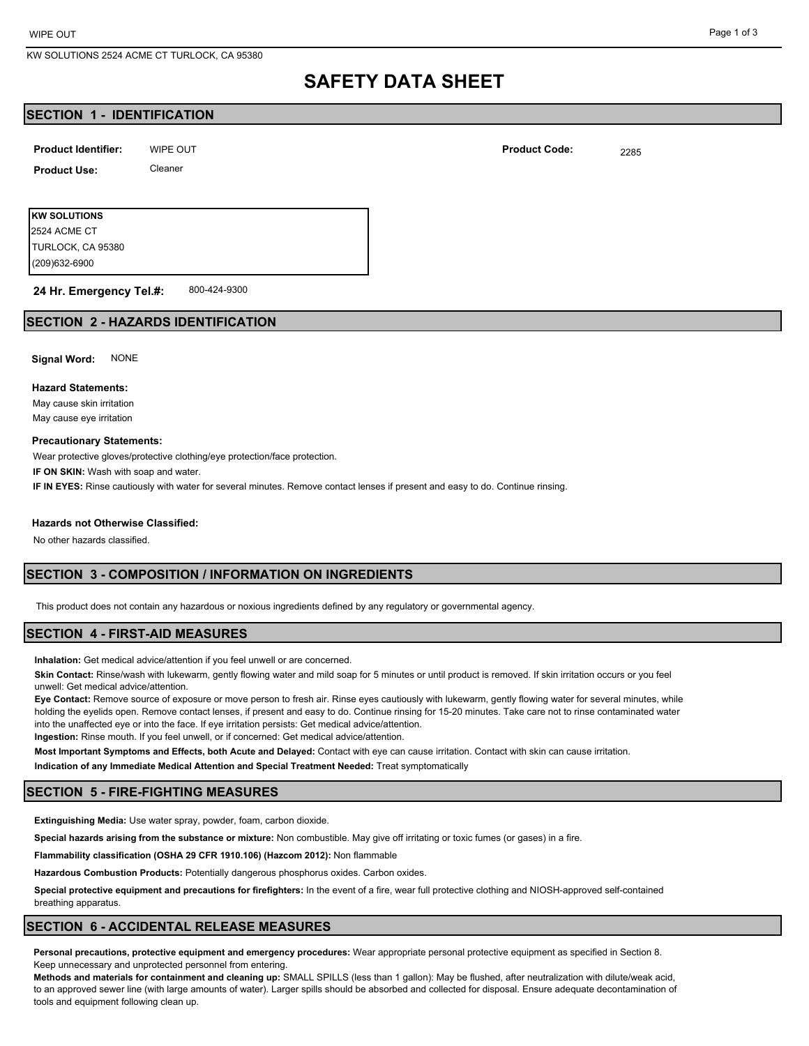# **SAFETY DATA SHEET**

## **SECTION 1 - IDENTIFICATION**

WIPE OUT **DESIGNATION Product Identifier: Product Code:** 2285 **Product Use:** Cleaner

**KW SOLUTIONS** (209)632-6900 TURLOCK, CA 95380 2524 ACME CT

800-424-9300 **24 Hr. Emergency Tel.#:**

## **SECTION 2 - HAZARDS IDENTIFICATION**

**Signal Word:** NONE

#### **Hazard Statements:**

May cause skin irritation May cause eye irritation

#### **Precautionary Statements:**

Wear protective gloves/protective clothing/eye protection/face protection.

**IF ON SKIN:** Wash with soap and water.

**IF IN EYES:** Rinse cautiously with water for several minutes. Remove contact lenses if present and easy to do. Continue rinsing.

#### **Hazards not Otherwise Classified:**

No other hazards classified.

# **SECTION 3 - COMPOSITION / INFORMATION ON INGREDIENTS**

This product does not contain any hazardous or noxious ingredients defined by any regulatory or governmental agency.

## **SECTION 4 - FIRST-AID MEASURES**

**Inhalation:** Get medical advice/attention if you feel unwell or are concerned.

**Skin Contact:** Rinse/wash with lukewarm, gently flowing water and mild soap for 5 minutes or until product is removed. If skin irritation occurs or you feel unwell: Get medical advice/attention.

**Eye Contact:** Remove source of exposure or move person to fresh air. Rinse eyes cautiously with lukewarm, gently flowing water for several minutes, while holding the eyelids open. Remove contact lenses, if present and easy to do. Continue rinsing for 15-20 minutes. Take care not to rinse contaminated water into the unaffected eye or into the face. If eye irritation persists: Get medical advice/attention. **Ingestion:** Rinse mouth. If you feel unwell, or if concerned: Get medical advice/attention.

**Most Important Symptoms and Effects, both Acute and Delayed:** Contact with eye can cause irritation. Contact with skin can cause irritation.

**Indication of any Immediate Medical Attention and Special Treatment Needed:** Treat symptomatically

## **SECTION 5 - FIRE-FIGHTING MEASURES**

**Extinguishing Media:** Use water spray, powder, foam, carbon dioxide.

**Special hazards arising from the substance or mixture:** Non combustible. May give off irritating or toxic fumes (or gases) in a fire.

**Flammability classification (OSHA 29 CFR 1910.106) (Hazcom 2012):** Non flammable

**Hazardous Combustion Products:** Potentially dangerous phosphorus oxides. Carbon oxides.

**Special protective equipment and precautions for firefighters:** In the event of a fire, wear full protective clothing and NIOSH-approved self-contained breathing apparatus.

## **SECTION 6 - ACCIDENTAL RELEASE MEASURES**

**Personal precautions, protective equipment and emergency procedures:** Wear appropriate personal protective equipment as specified in Section 8. Keep unnecessary and unprotected personnel from entering.

**Methods and materials for containment and cleaning up:** SMALL SPILLS (less than 1 gallon): May be flushed, after neutralization with dilute/weak acid, to an approved sewer line (with large amounts of water). Larger spills should be absorbed and collected for disposal. Ensure adequate decontamination of tools and equipment following clean up.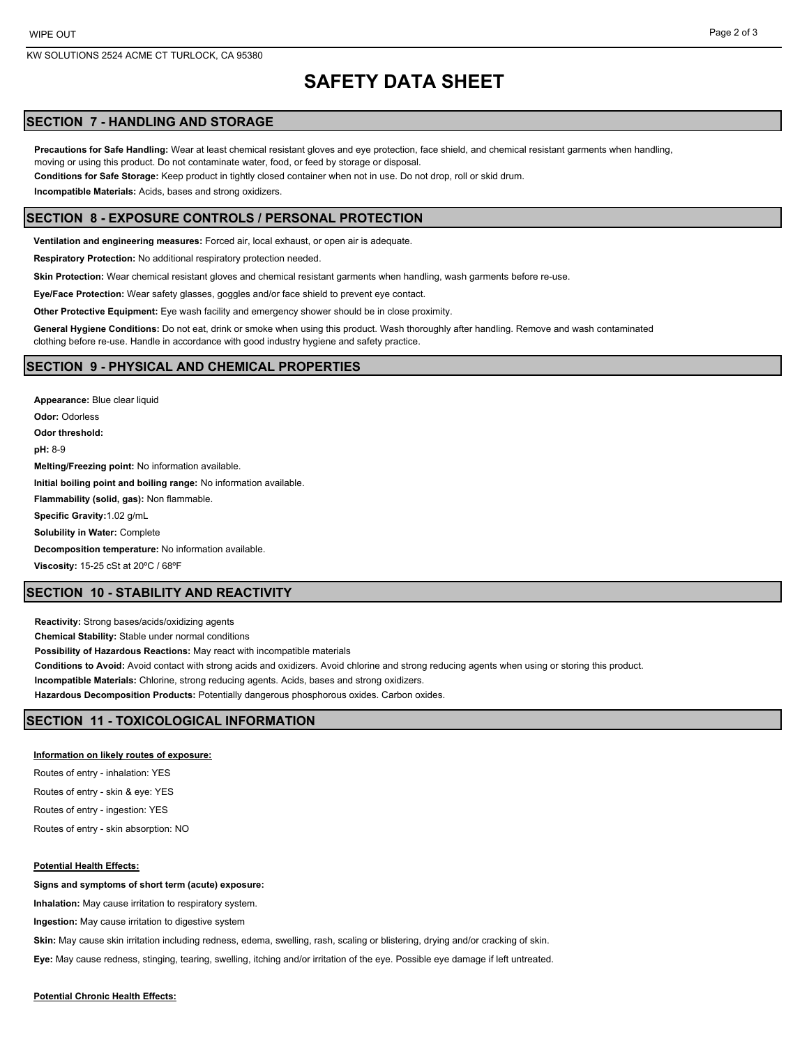# **SAFETY DATA SHEET**

## **SECTION 7 - HANDLING AND STORAGE**

**Precautions for Safe Handling:** Wear at least chemical resistant gloves and eye protection, face shield, and chemical resistant garments when handling, moving or using this product. Do not contaminate water, food, or feed by storage or disposal.

**Conditions for Safe Storage:** Keep product in tightly closed container when not in use. Do not drop, roll or skid drum.

**Incompatible Materials:** Acids, bases and strong oxidizers.

## **SECTION 8 - EXPOSURE CONTROLS / PERSONAL PROTECTION**

**Ventilation and engineering measures:** Forced air, local exhaust, or open air is adequate.

**Respiratory Protection:** No additional respiratory protection needed.

**Skin Protection:** Wear chemical resistant gloves and chemical resistant garments when handling, wash garments before re-use.

**Eye/Face Protection:** Wear safety glasses, goggles and/or face shield to prevent eye contact.

**Other Protective Equipment:** Eye wash facility and emergency shower should be in close proximity.

**General Hygiene Conditions:** Do not eat, drink or smoke when using this product. Wash thoroughly after handling. Remove and wash contaminated clothing before re-use. Handle in accordance with good industry hygiene and safety practice.

#### **SECTION 9 - PHYSICAL AND CHEMICAL PROPERTIES**

**Appearance:** Blue clear liquid **Odor:** Odorless **Odor threshold: pH:** 8-9 **Melting/Freezing point:** No information available. **Initial boiling point and boiling range:** No information available. **Flammability (solid, gas):** Non flammable. **Specific Gravity:**1.02 g/mL **Solubility in Water:** Complete **Decomposition temperature:** No information available. **Viscosity:** 15-25 cSt at 20ºC / 68ºF

### **SECTION 10 - STABILITY AND REACTIVITY**

**Reactivity:** Strong bases/acids/oxidizing agents **Chemical Stability:** Stable under normal conditions **Possibility of Hazardous Reactions:** May react with incompatible materials **Conditions to Avoid:** Avoid contact with strong acids and oxidizers. Avoid chlorine and strong reducing agents when using or storing this product. **Incompatible Materials:** Chlorine, strong reducing agents. Acids, bases and strong oxidizers. **Hazardous Decomposition Products:** Potentially dangerous phosphorous oxides. Carbon oxides.

## **SECTION 11 - TOXICOLOGICAL INFORMATION**

#### **Information on likely routes of exposure:**

Routes of entry - inhalation: YES

Routes of entry - skin & eye: YES

Routes of entry - ingestion: YES

Routes of entry - skin absorption: NO

#### **Potential Health Effects:**

**Signs and symptoms of short term (acute) exposure:**

**Inhalation:** May cause irritation to respiratory system.

**Ingestion:** May cause irritation to digestive system

**Skin:** May cause skin irritation including redness, edema, swelling, rash, scaling or blistering, drying and/or cracking of skin.

**Eye:** May cause redness, stinging, tearing, swelling, itching and/or irritation of the eye. Possible eye damage if left untreated.